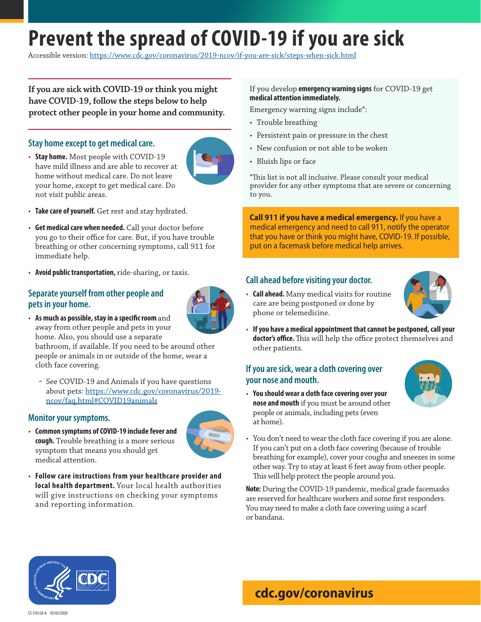# **Prevent the spread of COVID-19 if you are sick**

Accessible version:<https://www.cdc.gov/coronavirus/2019-ncov/if-you-are-sick/steps-when-sick.html>

**If you are sick with COVID-19 or think you might have COVID-19, follow the steps below to help protect other people in your home and community.**

### **Stay home except to get medical care.**

• **Stay home.** Most people with COVID-19 have mild illness and are able to recover at home without medical care. Do not leave your home, except to get medical care. Do not visit public areas.



- **Take care of yourself.** Get rest and stay hydrated.
- **Get medical care when needed.** Call your doctor before you go to their office for care. But, if you have trouble breathing or other concerning symptoms, call 911 for immediate help.
- **Avoid public transportation,** ride-sharing, or taxis.

### **Separate yourself from other people and pets in your home.**



• **As much as possible, stay in a specific room** and away from other people and pets in your home. Also, you should use a separate

bathroom, if available. If you need to be around other people or animals in or outside of the home, wear a cloth face covering.

**ɞ** See COVID-19 and Animals if you have questions about pets: [https://www.cdc.gov/coronavirus/2019](https://www.cdc.gov/coronavirus/2019-ncov/faq.html#COVID19animals) [ncov/faq.html#COVID19animals](https://www.cdc.gov/coronavirus/2019-ncov/faq.html#COVID19animals)

#### **Monitor your symptoms.**

• **Common symptoms of COVID-19 include fever and cough.** Trouble breathing is a more serious symptom that means you should get medical attention.



• **Follow care instructions from your healthcare provider and local health department.** Your local health authorities will give instructions on checking your symptoms and reporting information.

### If you develop **emergency warning signs** for COVID-19 get **medical attention immediately.**

Emergency warning signs include\*:

- Trouble breathing
- Persistent pain or pressure in the chest
- New confusion or not able to be woken
- Bluish lips or face

\*This list is not all inclusive. Please consult your medical provider for any other symptoms that are severe or concerning to you.

**Call 911 if you have a medical emergency.** If you have a medical emergency and need to call 911, notify the operator that you have or think you might have, COVID-19. If possible, put on a facemask before medical help arrives.

### **Call ahead before visiting your doctor.**

• **Call ahead.** Many medical visits for routine care are being postponed or done by



phone or telemedicine. • **If you have a medical appointment that cannot be postponed, call your doctor's office.** This will help the office protect themselves and other patients.

### **If you are sick, wear a cloth covering over your nose and mouth.**

• **You should wear a cloth face covering over your nose and mouth** if you must be around other people or animals, including pets (even at home).



• You don't need to wear the cloth face covering if you are alone. If you can't put on a cloth face covering (because of trouble breathing for example), cover your coughs and sneezes in some other way. Try to stay at least 6 feet away from other people. This will help protect the people around you.

**Note:** During the COVID-19 pandemic, medical grade facemasks are reserved for healthcare workers and some first responders. You may need to make a cloth face covering using a scarf or bandana.



# **[cdc.gov/c](http://cdc.gov/COVID19)oronavirus**